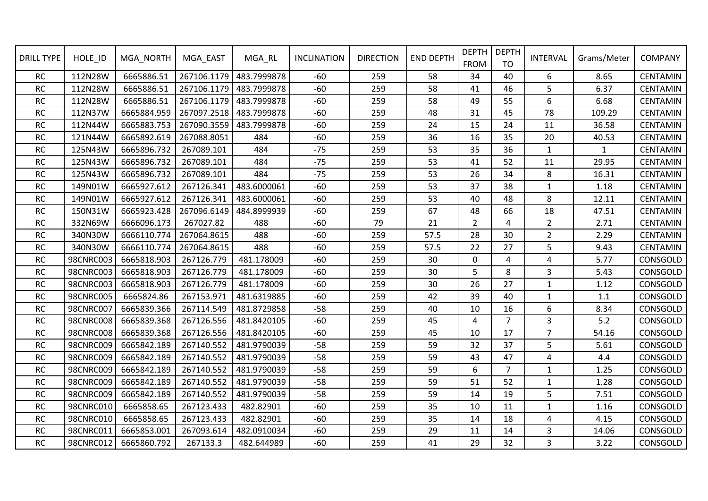| <b>DRILL TYPE</b> | HOLE_ID          | MGA_NORTH   | MGA_EAST    | MGA_RL      | <b>INCLINATION</b> | <b>DIRECTION</b> | <b>END DEPTH</b> | <b>DEPTH</b><br><b>FROM</b> | <b>DEPTH</b><br><b>TO</b> | <b>INTERVAL</b> | Grams/Meter  | <b>COMPANY</b>  |
|-------------------|------------------|-------------|-------------|-------------|--------------------|------------------|------------------|-----------------------------|---------------------------|-----------------|--------------|-----------------|
| RC                | 112N28W          | 6665886.51  | 267106.1179 | 483.7999878 | $-60$              | 259              | 58               | 34                          | 40                        | 6               | 8.65         | <b>CENTAMIN</b> |
| <b>RC</b>         | 112N28W          | 6665886.51  | 267106.1179 | 483.7999878 | $-60$              | 259              | 58               | 41                          | 46                        | 5               | 6.37         | <b>CENTAMIN</b> |
| <b>RC</b>         | 112N28W          | 6665886.51  | 267106.1179 | 483.7999878 | $-60$              | 259              | 58               | 49                          | 55                        | 6               | 6.68         | <b>CENTAMIN</b> |
| <b>RC</b>         | 112N37W          | 6665884.959 | 267097.2518 | 483.7999878 | $-60$              | 259              | 48               | 31                          | 45                        | 78              | 109.29       | <b>CENTAMIN</b> |
| RC                | 112N44W          | 6665883.753 | 267090.3559 | 483.7999878 | $-60$              | 259              | 24               | 15                          | 24                        | 11              | 36.58        | <b>CENTAMIN</b> |
| RC                | 121N44W          | 6665892.619 | 267088.8051 | 484         | $-60$              | 259              | 36               | 16                          | 35                        | 20              | 40.53        | <b>CENTAMIN</b> |
| <b>RC</b>         | 125N43W          | 6665896.732 | 267089.101  | 484         | $-75$              | 259              | 53               | 35                          | 36                        | $\mathbf{1}$    | $\mathbf{1}$ | <b>CENTAMIN</b> |
| <b>RC</b>         | 125N43W          | 6665896.732 | 267089.101  | 484         | $-75$              | 259              | 53               | 41                          | 52                        | 11              | 29.95        | <b>CENTAMIN</b> |
| <b>RC</b>         | 125N43W          | 6665896.732 | 267089.101  | 484         | $-75$              | 259              | 53               | 26                          | 34                        | 8               | 16.31        | <b>CENTAMIN</b> |
| <b>RC</b>         | 149N01W          | 6665927.612 | 267126.341  | 483.6000061 | $-60$              | 259              | 53               | 37                          | 38                        | 1               | 1.18         | <b>CENTAMIN</b> |
| <b>RC</b>         | 149N01W          | 6665927.612 | 267126.341  | 483.6000061 | $-60$              | 259              | 53               | 40                          | 48                        | 8               | 12.11        | <b>CENTAMIN</b> |
| RC                | 150N31W          | 6665923.428 | 267096.6149 | 484.8999939 | $-60$              | 259              | 67               | 48                          | 66                        | 18              | 47.51        | <b>CENTAMIN</b> |
| <b>RC</b>         | 332N69W          | 6666096.173 | 267027.82   | 488         | $-60$              | 79               | 21               | $\overline{2}$              | $\overline{4}$            | $\overline{2}$  | 2.71         | <b>CENTAMIN</b> |
| <b>RC</b>         | 340N30W          | 6666110.774 | 267064.8615 | 488         | $-60$              | 259              | 57.5             | 28                          | 30                        | $\overline{2}$  | 2.29         | <b>CENTAMIN</b> |
| <b>RC</b>         | 340N30W          | 6666110.774 | 267064.8615 | 488         | $-60$              | 259              | 57.5             | 22                          | 27                        | 5               | 9.43         | <b>CENTAMIN</b> |
| RC                | 98CNRC003        | 6665818.903 | 267126.779  | 481.178009  | $-60$              | 259              | 30               | $\mathbf 0$                 | $\overline{4}$            | 4               | 5.77         | CONSGOLD        |
| RC                | 98CNRC003        | 6665818.903 | 267126.779  | 481.178009  | $-60$              | 259              | 30               | 5                           | 8                         | 3               | 5.43         | CONSGOLD        |
| <b>RC</b>         | 98CNRC003        | 6665818.903 | 267126.779  | 481.178009  | $-60$              | 259              | 30               | 26                          | 27                        | $\mathbf{1}$    | 1.12         | CONSGOLD        |
| <b>RC</b>         | 98CNRC005        | 6665824.86  | 267153.971  | 481.6319885 | $-60$              | 259              | 42               | 39                          | 40                        | $\mathbf{1}$    | 1.1          | CONSGOLD        |
| <b>RC</b>         | 98CNRC007        | 6665839.366 | 267114.549  | 481.8729858 | $-58$              | 259              | 40               | 10                          | 16                        | 6               | 8.34         | CONSGOLD        |
| RC                | <b>98CNRC008</b> | 6665839.368 | 267126.556  | 481.8420105 | $-60$              | 259              | 45               | 4                           | $\overline{7}$            | 3               | 5.2          | CONSGOLD        |
| RC                | <b>98CNRC008</b> | 6665839.368 | 267126.556  | 481.8420105 | $-60$              | 259              | 45               | 10                          | 17                        | $\overline{7}$  | 54.16        | CONSGOLD        |
| RC                | 98CNRC009        | 6665842.189 | 267140.552  | 481.9790039 | $-58$              | 259              | 59               | 32                          | 37                        | 5               | 5.61         | CONSGOLD        |
| <b>RC</b>         | 98CNRC009        | 6665842.189 | 267140.552  | 481.9790039 | $-58$              | 259              | 59               | 43                          | 47                        | 4               | 4.4          | CONSGOLD        |
| RC                | 98CNRC009        | 6665842.189 | 267140.552  | 481.9790039 | $-58$              | 259              | 59               | 6                           | $\overline{7}$            | $\mathbf{1}$    | 1.25         | CONSGOLD        |
| <b>RC</b>         | 98CNRC009        | 6665842.189 | 267140.552  | 481.9790039 | $-58$              | 259              | 59               | 51                          | 52                        | $\mathbf{1}$    | 1.28         | CONSGOLD        |
| <b>RC</b>         | 98CNRC009        | 6665842.189 | 267140.552  | 481.9790039 | $-58$              | 259              | 59               | 14                          | 19                        | 5               | 7.51         | CONSGOLD        |
| <b>RC</b>         | 98CNRC010        | 6665858.65  | 267123.433  | 482.82901   | $-60$              | 259              | 35               | 10                          | 11                        | $\mathbf{1}$    | 1.16         | CONSGOLD        |
| RC                | 98CNRC010        | 6665858.65  | 267123.433  | 482.82901   | $-60$              | 259              | 35               | 14                          | 18                        | 4               | 4.15         | CONSGOLD        |
| RC                | 98CNRC011        | 6665853.001 | 267093.614  | 482.0910034 | $-60$              | 259              | 29               | 11                          | 14                        | 3               | 14.06        | CONSGOLD        |
| <b>RC</b>         | 98CNRC012        | 6665860.792 | 267133.3    | 482.644989  | $-60$              | 259              | 41               | 29                          | 32                        | $\overline{3}$  | 3.22         | CONSGOLD        |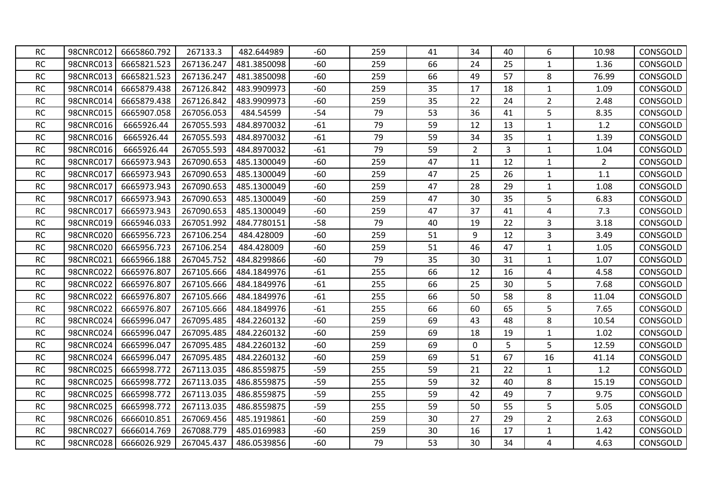| <b>RC</b> | 98CNRC012 | 6665860.792 | 267133.3   | 482.644989  | $-60$ | 259 | 41 | 34               | 40             | 6                       | 10.98          | CONSGOLD |
|-----------|-----------|-------------|------------|-------------|-------|-----|----|------------------|----------------|-------------------------|----------------|----------|
| RC        | 98CNRC013 | 6665821.523 | 267136.247 | 481.3850098 | $-60$ | 259 | 66 | 24               | 25             | $\mathbf{1}$            | 1.36           | CONSGOLD |
| <b>RC</b> | 98CNRC013 | 6665821.523 | 267136.247 | 481.3850098 | $-60$ | 259 | 66 | 49               | 57             | 8                       | 76.99          | CONSGOLD |
| RC        | 98CNRC014 | 6665879.438 | 267126.842 | 483.9909973 | $-60$ | 259 | 35 | 17               | 18             | $\mathbf 1$             | 1.09           | CONSGOLD |
| <b>RC</b> | 98CNRC014 | 6665879.438 | 267126.842 | 483.9909973 | -60   | 259 | 35 | 22               | 24             | $\overline{2}$          | 2.48           | CONSGOLD |
| RC        | 98CNRC015 | 6665907.058 | 267056.053 | 484.54599   | $-54$ | 79  | 53 | 36               | 41             | 5                       | 8.35           | CONSGOLD |
| <b>RC</b> | 98CNRC016 | 6665926.44  | 267055.593 | 484.8970032 | $-61$ | 79  | 59 | 12               | 13             | $1\,$                   | 1.2            | CONSGOLD |
| <b>RC</b> | 98CNRC016 | 6665926.44  | 267055.593 | 484.8970032 | $-61$ | 79  | 59 | 34               | 35             | $\mathbf{1}$            | 1.39           | CONSGOLD |
| RC        | 98CNRC016 | 6665926.44  | 267055.593 | 484.8970032 | $-61$ | 79  | 59 | $\overline{2}$   | $\overline{3}$ | $\mathbf 1$             | 1.04           | CONSGOLD |
| RC        | 98CNRC017 | 6665973.943 | 267090.653 | 485.1300049 | $-60$ | 259 | 47 | 11               | 12             | $1\,$                   | $\overline{2}$ | CONSGOLD |
| RC        | 98CNRC017 | 6665973.943 | 267090.653 | 485.1300049 | $-60$ | 259 | 47 | 25               | 26             | $\mathbf 1$             | 1.1            | CONSGOLD |
| <b>RC</b> | 98CNRC017 | 6665973.943 | 267090.653 | 485.1300049 | $-60$ | 259 | 47 | 28               | 29             | $1\,$                   | 1.08           | CONSGOLD |
| RC        | 98CNRC017 | 6665973.943 | 267090.653 | 485.1300049 | $-60$ | 259 | 47 | 30               | 35             | 5                       | 6.83           | CONSGOLD |
| RC        | 98CNRC017 | 6665973.943 | 267090.653 | 485.1300049 | $-60$ | 259 | 47 | 37               | 41             | 4                       | 7.3            | CONSGOLD |
| <b>RC</b> | 98CNRC019 | 6665946.033 | 267051.992 | 484.7780151 | $-58$ | 79  | 40 | 19               | 22             | 3                       | 3.18           | CONSGOLD |
| RC        | 98CNRC020 | 6665956.723 | 267106.254 | 484.428009  | $-60$ | 259 | 51 | $\boldsymbol{9}$ | 12             | 3                       | 3.49           | CONSGOLD |
| <b>RC</b> | 98CNRC020 | 6665956.723 | 267106.254 | 484.428009  | $-60$ | 259 | 51 | 46               | 47             | $\mathbf{1}$            | 1.05           | CONSGOLD |
| RC        | 98CNRC021 | 6665966.188 | 267045.752 | 484.8299866 | $-60$ | 79  | 35 | 30               | 31             | $\mathbf{1}$            | 1.07           | CONSGOLD |
| RC        | 98CNRC022 | 6665976.807 | 267105.666 | 484.1849976 | $-61$ | 255 | 66 | 12               | 16             | 4                       | 4.58           | CONSGOLD |
| <b>RC</b> | 98CNRC022 | 6665976.807 | 267105.666 | 484.1849976 | $-61$ | 255 | 66 | 25               | 30             | 5                       | 7.68           | CONSGOLD |
| RC        | 98CNRC022 | 6665976.807 | 267105.666 | 484.1849976 | $-61$ | 255 | 66 | 50               | 58             | 8                       | 11.04          | CONSGOLD |
| <b>RC</b> | 98CNRC022 | 6665976.807 | 267105.666 | 484.1849976 | $-61$ | 255 | 66 | 60               | 65             | 5                       | 7.65           | CONSGOLD |
| RC        | 98CNRC024 | 6665996.047 | 267095.485 | 484.2260132 | $-60$ | 259 | 69 | 43               | 48             | 8                       | 10.54          | CONSGOLD |
| <b>RC</b> | 98CNRC024 | 6665996.047 | 267095.485 | 484.2260132 | $-60$ | 259 | 69 | 18               | 19             | $\mathbf{1}$            | 1.02           | CONSGOLD |
| RC        | 98CNRC024 | 6665996.047 | 267095.485 | 484.2260132 | $-60$ | 259 | 69 | $\mathbf 0$      | 5              | 5                       | 12.59          | CONSGOLD |
| RC        | 98CNRC024 | 6665996.047 | 267095.485 | 484.2260132 | $-60$ | 259 | 69 | 51               | 67             | 16                      | 41.14          | CONSGOLD |
| RC        | 98CNRC025 | 6665998.772 | 267113.035 | 486.8559875 | $-59$ | 255 | 59 | 21               | 22             | $\mathbf{1}$            | 1.2            | CONSGOLD |
| RC        | 98CNRC025 | 6665998.772 | 267113.035 | 486.8559875 | $-59$ | 255 | 59 | 32               | 40             | 8                       | 15.19          | CONSGOLD |
| <b>RC</b> | 98CNRC025 | 6665998.772 | 267113.035 | 486.8559875 | $-59$ | 255 | 59 | 42               | 49             | $\overline{7}$          | 9.75           | CONSGOLD |
| <b>RC</b> | 98CNRC025 | 6665998.772 | 267113.035 | 486.8559875 | $-59$ | 255 | 59 | 50               | 55             | 5                       | 5.05           | CONSGOLD |
| RC        | 98CNRC026 | 6666010.851 | 267069.456 | 485.1919861 | $-60$ | 259 | 30 | 27               | 29             | $\overline{2}$          | 2.63           | CONSGOLD |
| <b>RC</b> | 98CNRC027 | 6666014.769 | 267088.779 | 485.0169983 | $-60$ | 259 | 30 | 16               | 17             | $\mathbf{1}$            | 1.42           | CONSGOLD |
| <b>RC</b> | 98CNRC028 | 6666026.929 | 267045.437 | 486.0539856 | $-60$ | 79  | 53 | 30               | 34             | $\overline{\mathbf{4}}$ | 4.63           | CONSGOLD |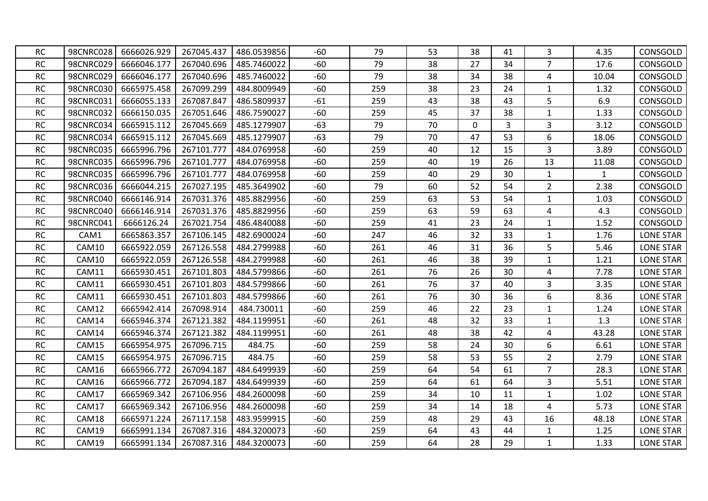| <b>RC</b> | 98CNRC028 | 6666026.929 | 267045.437 | 486.0539856 | -60   | 79  | 53 | 38           | 41             | 3                       | 4.35         | CONSGOLD         |
|-----------|-----------|-------------|------------|-------------|-------|-----|----|--------------|----------------|-------------------------|--------------|------------------|
| <b>RC</b> | 98CNRC029 | 6666046.177 | 267040.696 | 485.7460022 | $-60$ | 79  | 38 | 27           | 34             | $\overline{7}$          | 17.6         | CONSGOLD         |
| <b>RC</b> | 98CNRC029 | 6666046.177 | 267040.696 | 485.7460022 | $-60$ | 79  | 38 | 34           | 38             | 4                       | 10.04        | CONSGOLD         |
| <b>RC</b> | 98CNRC030 | 6665975.458 | 267099.299 | 484.8009949 | $-60$ | 259 | 38 | 23           | 24             | $1\,$                   | 1.32         | CONSGOLD         |
| <b>RC</b> | 98CNRC031 | 6666055.133 | 267087.847 | 486.5809937 | $-61$ | 259 | 43 | 38           | 43             | 5                       | 6.9          | CONSGOLD         |
| <b>RC</b> | 98CNRC032 | 6666150.035 | 267051.646 | 486.7590027 | $-60$ | 259 | 45 | 37           | 38             | $\mathbf{1}$            | 1.33         | CONSGOLD         |
| <b>RC</b> | 98CNRC034 | 6665915.112 | 267045.669 | 485.1279907 | $-63$ | 79  | 70 | $\mathbf{0}$ | $\overline{3}$ | 3                       | 3.12         | CONSGOLD         |
| <b>RC</b> | 98CNRC034 | 6665915.112 | 267045.669 | 485.1279907 | $-63$ | 79  | 70 | 47           | 53             | 6                       | 18.06        | CONSGOLD         |
| <b>RC</b> | 98CNRC035 | 6665996.796 | 267101.777 | 484.0769958 | -60   | 259 | 40 | 12           | 15             | 3                       | 3.89         | CONSGOLD         |
| RC        | 98CNRC035 | 6665996.796 | 267101.777 | 484.0769958 | $-60$ | 259 | 40 | 19           | 26             | 13                      | 11.08        | CONSGOLD         |
| <b>RC</b> | 98CNRC035 | 6665996.796 | 267101.777 | 484.0769958 | $-60$ | 259 | 40 | 29           | 30             | $\mathbf{1}$            | $\mathbf{1}$ | CONSGOLD         |
| <b>RC</b> | 98CNRC036 | 6666044.215 | 267027.195 | 485.3649902 | -60   | 79  | 60 | 52           | 54             | $\overline{2}$          | 2.38         | CONSGOLD         |
| <b>RC</b> | 98CNRC040 | 6666146.914 | 267031.376 | 485.8829956 | -60   | 259 | 63 | 53           | 54             | $\mathbf{1}$            | 1.03         | CONSGOLD         |
| RC        | 98CNRC040 | 6666146.914 | 267031.376 | 485.8829956 | $-60$ | 259 | 63 | 59           | 63             | 4                       | 4.3          | CONSGOLD         |
| <b>RC</b> | 98CNRC041 | 6666126.24  | 267021.754 | 486.4840088 | $-60$ | 259 | 41 | 23           | 24             | $1\,$                   | 1.52         | CONSGOLD         |
| <b>RC</b> | CAM1      | 6665863.357 | 267106.145 | 482.6900024 | $-60$ | 247 | 46 | 32           | 33             | $\mathbf{1}$            | 1.76         | LONE STAR        |
| <b>RC</b> | CAM10     | 6665922.059 | 267126.558 | 484.2799988 | -60   | 261 | 46 | 31           | 36             | 5                       | 5.46         | <b>LONE STAR</b> |
| <b>RC</b> | CAM10     | 6665922.059 | 267126.558 | 484.2799988 | $-60$ | 261 | 46 | 38           | 39             | $1\,$                   | 1.21         | LONE STAR        |
| <b>RC</b> | CAM11     | 6665930.451 | 267101.803 | 484.5799866 | $-60$ | 261 | 76 | 26           | 30             | $\overline{4}$          | 7.78         | <b>LONE STAR</b> |
| <b>RC</b> | CAM11     | 6665930.451 | 267101.803 | 484.5799866 | -60   | 261 | 76 | 37           | 40             | 3                       | 3.35         | <b>LONE STAR</b> |
| <b>RC</b> | CAM11     | 6665930.451 | 267101.803 | 484.5799866 | $-60$ | 261 | 76 | 30           | 36             | 6                       | 8.36         | <b>LONE STAR</b> |
| <b>RC</b> | CAM12     | 6665942.414 | 267098.914 | 484.730011  | -60   | 259 | 46 | 22           | 23             | $\mathbf{1}$            | 1.24         | <b>LONE STAR</b> |
| <b>RC</b> | CAM14     | 6665946.374 | 267121.382 | 484.1199951 | $-60$ | 261 | 48 | 32           | 33             | $\mathbf{1}$            | 1.3          | <b>LONE STAR</b> |
| <b>RC</b> | CAM14     | 6665946.374 | 267121.382 | 484.1199951 | $-60$ | 261 | 48 | 38           | 42             | 4                       | 43.28        | <b>LONE STAR</b> |
| <b>RC</b> | CAM15     | 6665954.975 | 267096.715 | 484.75      | $-60$ | 259 | 58 | 24           | 30             | 6                       | 6.61         | <b>LONE STAR</b> |
| <b>RC</b> | CAM15     | 6665954.975 | 267096.715 | 484.75      | $-60$ | 259 | 58 | 53           | 55             | $\overline{2}$          | 2.79         | <b>LONE STAR</b> |
| <b>RC</b> | CAM16     | 6665966.772 | 267094.187 | 484.6499939 | $-60$ | 259 | 64 | 54           | 61             | $\overline{7}$          | 28.3         | <b>LONE STAR</b> |
| <b>RC</b> | CAM16     | 6665966.772 | 267094.187 | 484.6499939 | -60   | 259 | 64 | 61           | 64             | 3                       | 5.51         | <b>LONE STAR</b> |
| RC        | CAM17     | 6665969.342 | 267106.956 | 484.2600098 | $-60$ | 259 | 34 | 10           | 11             | $\mathbf{1}$            | 1.02         | <b>LONE STAR</b> |
| <b>RC</b> | CAM17     | 6665969.342 | 267106.956 | 484.2600098 | $-60$ | 259 | 34 | 14           | 18             | $\overline{\mathbf{4}}$ | 5.73         | <b>LONE STAR</b> |
| <b>RC</b> | CAM18     | 6665971.224 | 267117.158 | 483.9599915 | -60   | 259 | 48 | 29           | 43             | 16                      | 48.18        | <b>LONE STAR</b> |
| <b>RC</b> | CAM19     | 6665991.134 | 267087.316 | 484.3200073 | -60   | 259 | 64 | 43           | 44             | $\mathbf{1}$            | 1.25         | <b>LONE STAR</b> |
| <b>RC</b> | CAM19     | 6665991.134 | 267087.316 | 484.3200073 | $-60$ | 259 | 64 | 28           | 29             | $\mathbf{1}$            | 1.33         | <b>LONE STAR</b> |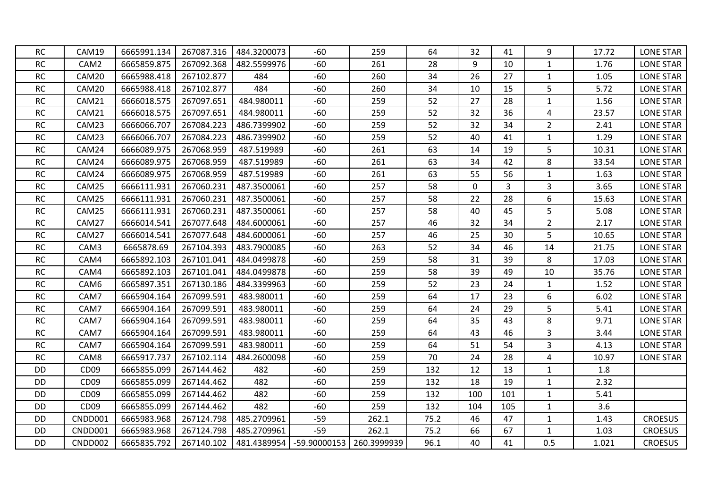| <b>RC</b> | CAM19            | 6665991.134 | 267087.316 | 484.3200073 | $-60$          | 259         | 64   | 32          | 41  | 9              | 17.72 | <b>LONE STAR</b> |
|-----------|------------------|-------------|------------|-------------|----------------|-------------|------|-------------|-----|----------------|-------|------------------|
| RC        | CAM2             | 6665859.875 | 267092.368 | 482.5599976 | $-60$          | 261         | 28   | 9           | 10  | $\mathbf{1}$   | 1.76  | <b>LONE STAR</b> |
| <b>RC</b> | CAM20            | 6665988.418 | 267102.877 | 484         | $-60$          | 260         | 34   | 26          | 27  | $\mathbf{1}$   | 1.05  | <b>LONE STAR</b> |
| <b>RC</b> | CAM20            | 6665988.418 | 267102.877 | 484         | $-60$          | 260         | 34   | 10          | 15  | 5              | 5.72  | <b>LONE STAR</b> |
| <b>RC</b> | CAM21            | 6666018.575 | 267097.651 | 484.980011  | $-60$          | 259         | 52   | 27          | 28  | $\mathbf{1}$   | 1.56  | <b>LONE STAR</b> |
| RC        | CAM21            | 6666018.575 | 267097.651 | 484.980011  | $-60$          | 259         | 52   | 32          | 36  | 4              | 23.57 | <b>LONE STAR</b> |
| <b>RC</b> | CAM23            | 6666066.707 | 267084.223 | 486.7399902 | $-60$          | 259         | 52   | 32          | 34  | $\overline{2}$ | 2.41  | <b>LONE STAR</b> |
| <b>RC</b> | CAM23            | 6666066.707 | 267084.223 | 486.7399902 | $-60$          | 259         | 52   | 40          | 41  | $\mathbf{1}$   | 1.29  | <b>LONE STAR</b> |
| $\sf RC$  | CAM24            | 6666089.975 | 267068.959 | 487.519989  | $-60$          | 261         | 63   | 14          | 19  | 5              | 10.31 | <b>LONE STAR</b> |
| $\sf RC$  | CAM24            | 6666089.975 | 267068.959 | 487.519989  | $-60$          | 261         | 63   | 34          | 42  | 8              | 33.54 | <b>LONE STAR</b> |
| <b>RC</b> | CAM24            | 6666089.975 | 267068.959 | 487.519989  | $-60$          | 261         | 63   | 55          | 56  | $\mathbf 1$    | 1.63  | <b>LONE STAR</b> |
| <b>RC</b> | CAM25            | 6666111.931 | 267060.231 | 487.3500061 | $-60$          | 257         | 58   | $\mathbf 0$ | 3   | $\mathbf{3}$   | 3.65  | <b>LONE STAR</b> |
| <b>RC</b> | CAM25            | 6666111.931 | 267060.231 | 487.3500061 | $-60$          | 257         | 58   | 22          | 28  | 6              | 15.63 | <b>LONE STAR</b> |
| RC        | CAM25            | 6666111.931 | 267060.231 | 487.3500061 | $-60$          | 257         | 58   | 40          | 45  | 5              | 5.08  | <b>LONE STAR</b> |
| <b>RC</b> | CAM27            | 6666014.541 | 267077.648 | 484.6000061 | $-60$          | 257         | 46   | 32          | 34  | $\overline{2}$ | 2.17  | <b>LONE STAR</b> |
| RC        | CAM27            | 6666014.541 | 267077.648 | 484.6000061 | -60            | 257         | 46   | 25          | 30  | 5              | 10.65 | <b>LONE STAR</b> |
| RC        | CAM3             | 6665878.69  | 267104.393 | 483.7900085 | $-60$          | 263         | 52   | 34          | 46  | 14             | 21.75 | <b>LONE STAR</b> |
| <b>RC</b> | CAM4             | 6665892.103 | 267101.041 | 484.0499878 | $-60$          | 259         | 58   | 31          | 39  | 8              | 17.03 | <b>LONE STAR</b> |
| <b>RC</b> | CAM4             | 6665892.103 | 267101.041 | 484.0499878 | $-60$          | 259         | 58   | 39          | 49  | 10             | 35.76 | <b>LONE STAR</b> |
| RC        | CAM6             | 6665897.351 | 267130.186 | 484.3399963 | $-60$          | 259         | 52   | 23          | 24  | $\mathbf{1}$   | 1.52  | <b>LONE STAR</b> |
| <b>RC</b> | CAM7             | 6665904.164 | 267099.591 | 483.980011  | $-60$          | 259         | 64   | 17          | 23  | 6              | 6.02  | <b>LONE STAR</b> |
| RC        | CAM7             | 6665904.164 | 267099.591 | 483.980011  | $-60$          | 259         | 64   | 24          | 29  | 5              | 5.41  | <b>LONE STAR</b> |
| $\sf RC$  | CAM7             | 6665904.164 | 267099.591 | 483.980011  | $-60$          | 259         | 64   | 35          | 43  | 8              | 9.71  | LONE STAR        |
| RC        | CAM7             | 6665904.164 | 267099.591 | 483.980011  | $-60$          | 259         | 64   | 43          | 46  | 3              | 3.44  | <b>LONE STAR</b> |
| $\sf RC$  | CAM7             | 6665904.164 | 267099.591 | 483.980011  | $-60$          | 259         | 64   | 51          | 54  | 3              | 4.13  | <b>LONE STAR</b> |
| RC        | CAM8             | 6665917.737 | 267102.114 | 484.2600098 | $-60$          | 259         | 70   | 24          | 28  | 4              | 10.97 | <b>LONE STAR</b> |
| DD        | CD <sub>09</sub> | 6665855.099 | 267144.462 | 482         | $-60$          | 259         | 132  | 12          | 13  | $\mathbf{1}$   | 1.8   |                  |
| DD        | CD <sub>09</sub> | 6665855.099 | 267144.462 | 482         | $-60$          | 259         | 132  | 18          | 19  | $\mathbf{1}$   | 2.32  |                  |
| DD        | CD <sub>09</sub> | 6665855.099 | 267144.462 | 482         | $-60$          | 259         | 132  | 100         | 101 | $\mathbf{1}$   | 5.41  |                  |
| DD        | CD <sub>09</sub> | 6665855.099 | 267144.462 | 482         | $-60$          | 259         | 132  | 104         | 105 | $\mathbf{1}$   | 3.6   |                  |
| DD        | CNDD001          | 6665983.968 | 267124.798 | 485.2709961 | $-59$          | 262.1       | 75.2 | 46          | 47  | $\mathbf 1$    | 1.43  | <b>CROESUS</b>   |
| DD        | CNDD001          | 6665983.968 | 267124.798 | 485.2709961 | $-59$          | 262.1       | 75.2 | 66          | 67  | $\mathbf{1}$   | 1.03  | <b>CROESUS</b>   |
| DD        | CNDD002          | 6665835.792 | 267140.102 | 481.4389954 | $-59.90000153$ | 260.3999939 | 96.1 | 40          | 41  | 0.5            | 1.021 | <b>CROESUS</b>   |
|           |                  |             |            |             |                |             |      |             |     |                |       |                  |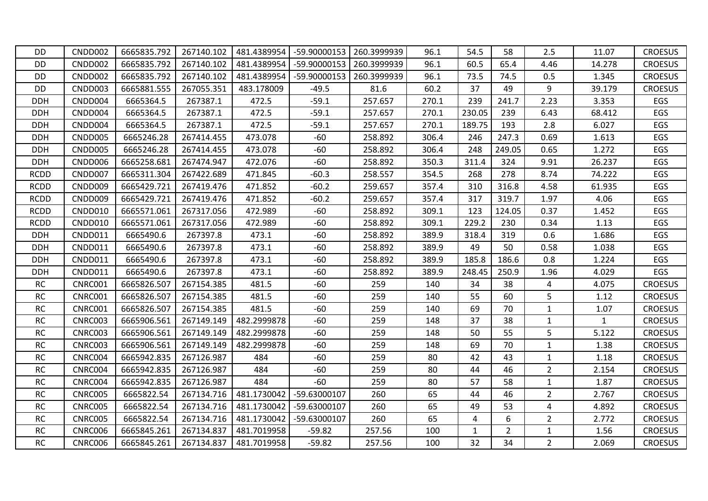| <b>DD</b>   | CNDD002        | 6665835.792 | 267140.102 | 481.4389954 | -59.90000153 | 260.3999939 | 96.1  | 54.5         | 58             | 2.5            | 11.07        | <b>CROESUS</b> |
|-------------|----------------|-------------|------------|-------------|--------------|-------------|-------|--------------|----------------|----------------|--------------|----------------|
| DD          | CNDD002        | 6665835.792 | 267140.102 | 481.4389954 | -59.90000153 | 260.3999939 | 96.1  | 60.5         | 65.4           | 4.46           | 14.278       | <b>CROESUS</b> |
| DD          | CNDD002        | 6665835.792 | 267140.102 | 481.4389954 | -59.90000153 | 260.3999939 | 96.1  | 73.5         | 74.5           | 0.5            | 1.345        | <b>CROESUS</b> |
| <b>DD</b>   | CNDD003        | 6665881.555 | 267055.351 | 483.178009  | $-49.5$      | 81.6        | 60.2  | 37           | 49             | 9              | 39.179       | <b>CROESUS</b> |
| <b>DDH</b>  | CNDD004        | 6665364.5   | 267387.1   | 472.5       | $-59.1$      | 257.657     | 270.1 | 239          | 241.7          | 2.23           | 3.353        | EGS            |
| <b>DDH</b>  | CNDD004        | 6665364.5   | 267387.1   | 472.5       | $-59.1$      | 257.657     | 270.1 | 230.05       | 239            | 6.43           | 68.412       | EGS            |
| <b>DDH</b>  | CNDD004        | 6665364.5   | 267387.1   | 472.5       | $-59.1$      | 257.657     | 270.1 | 189.75       | 193            | 2.8            | 6.027        | EGS            |
| <b>DDH</b>  | CNDD005        | 6665246.28  | 267414.455 | 473.078     | $-60$        | 258.892     | 306.4 | 246          | 247.3          | 0.69           | 1.613        | EGS            |
| <b>DDH</b>  | CNDD005        | 6665246.28  | 267414.455 | 473.078     | $-60$        | 258.892     | 306.4 | 248          | 249.05         | 0.65           | 1.272        | EGS            |
| <b>DDH</b>  | CNDD006        | 6665258.681 | 267474.947 | 472.076     | $-60$        | 258.892     | 350.3 | 311.4        | 324            | 9.91           | 26.237       | EGS            |
| <b>RCDD</b> | CNDD007        | 6665311.304 | 267422.689 | 471.845     | $-60.3$      | 258.557     | 354.5 | 268          | 278            | 8.74           | 74.222       | EGS            |
| <b>RCDD</b> | CNDD009        | 6665429.721 | 267419.476 | 471.852     | $-60.2$      | 259.657     | 357.4 | 310          | 316.8          | 4.58           | 61.935       | EGS            |
| <b>RCDD</b> | CNDD009        | 6665429.721 | 267419.476 | 471.852     | $-60.2$      | 259.657     | 357.4 | 317          | 319.7          | 1.97           | 4.06         | EGS            |
| <b>RCDD</b> | CNDD010        | 6665571.061 | 267317.056 | 472.989     | $-60$        | 258.892     | 309.1 | 123          | 124.05         | 0.37           | 1.452        | EGS            |
| <b>RCDD</b> | CNDD010        | 6665571.061 | 267317.056 | 472.989     | $-60$        | 258.892     | 309.1 | 229.2        | 230            | 0.34           | 1.13         | EGS            |
| <b>DDH</b>  | CNDD011        | 6665490.6   | 267397.8   | 473.1       | $-60$        | 258.892     | 389.9 | 318.4        | 319            | 0.6            | 1.686        | EGS            |
| <b>DDH</b>  | CNDD011        | 6665490.6   | 267397.8   | 473.1       | $-60$        | 258.892     | 389.9 | 49           | 50             | 0.58           | 1.038        | EGS            |
| <b>DDH</b>  | CNDD011        | 6665490.6   | 267397.8   | 473.1       | $-60$        | 258.892     | 389.9 | 185.8        | 186.6          | 0.8            | 1.224        | EGS            |
| <b>DDH</b>  | CNDD011        | 6665490.6   | 267397.8   | 473.1       | $-60$        | 258.892     | 389.9 | 248.45       | 250.9          | 1.96           | 4.029        | EGS            |
| <b>RC</b>   | CNRC001        | 6665826.507 | 267154.385 | 481.5       | $-60$        | 259         | 140   | 34           | 38             | 4              | 4.075        | <b>CROESUS</b> |
| RC          | <b>CNRC001</b> | 6665826.507 | 267154.385 | 481.5       | $-60$        | 259         | 140   | 55           | 60             | 5              | 1.12         | <b>CROESUS</b> |
| <b>RC</b>   | CNRC001        | 6665826.507 | 267154.385 | 481.5       | $-60$        | 259         | 140   | 69           | 70             | $\mathbf{1}$   | 1.07         | <b>CROESUS</b> |
| <b>RC</b>   | CNRC003        | 6665906.561 | 267149.149 | 482.2999878 | $-60$        | 259         | 148   | 37           | 38             | $\mathbf{1}$   | $\mathbf{1}$ | <b>CROESUS</b> |
| <b>RC</b>   | CNRC003        | 6665906.561 | 267149.149 | 482.2999878 | -60          | 259         | 148   | 50           | 55             | 5              | 5.122        | <b>CROESUS</b> |
| RC          | <b>CNRC003</b> | 6665906.561 | 267149.149 | 482.2999878 | $-60$        | 259         | 148   | 69           | 70             | $\mathbf{1}$   | 1.38         | <b>CROESUS</b> |
| <b>RC</b>   | CNRC004        | 6665942.835 | 267126.987 | 484         | $-60$        | 259         | 80    | 42           | 43             | $\mathbf{1}$   | 1.18         | <b>CROESUS</b> |
| <b>RC</b>   | CNRC004        | 6665942.835 | 267126.987 | 484         | $-60$        | 259         | 80    | 44           | 46             | $\overline{2}$ | 2.154        | <b>CROESUS</b> |
| <b>RC</b>   | CNRC004        | 6665942.835 | 267126.987 | 484         | $-60$        | 259         | 80    | 57           | 58             | $\mathbf{1}$   | 1.87         | <b>CROESUS</b> |
| <b>RC</b>   | <b>CNRC005</b> | 6665822.54  | 267134.716 | 481.1730042 | -59.63000107 | 260         | 65    | 44           | 46             | $\overline{2}$ | 2.767        | <b>CROESUS</b> |
| <b>RC</b>   | <b>CNRC005</b> | 6665822.54  | 267134.716 | 481.1730042 | -59.63000107 | 260         | 65    | 49           | 53             | 4              | 4.892        | <b>CROESUS</b> |
| <b>RC</b>   | <b>CNRC005</b> | 6665822.54  | 267134.716 | 481.1730042 | -59.63000107 | 260         | 65    | 4            | 6              | $\overline{2}$ | 2.772        | <b>CROESUS</b> |
| <b>RC</b>   | CNRC006        | 6665845.261 | 267134.837 | 481.7019958 | $-59.82$     | 257.56      | 100   | $\mathbf{1}$ | $\overline{2}$ | $\mathbf{1}$   | 1.56         | <b>CROESUS</b> |
| ${\sf RC}$  | <b>CNRC006</b> | 6665845.261 | 267134.837 | 481.7019958 | $-59.82$     | 257.56      | 100   | 32           | 34             | $\overline{2}$ | 2.069        | <b>CROESUS</b> |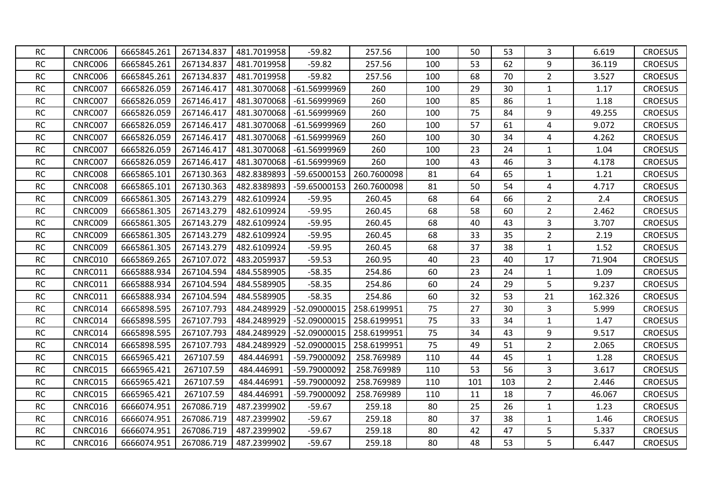| <b>RC</b> | CNRC006        | 6665845.261 | 267134.837 | 481.7019958 | $-59.82$       | 257.56      | 100 | 50  | 53  | 3              | 6.619   | <b>CROESUS</b> |
|-----------|----------------|-------------|------------|-------------|----------------|-------------|-----|-----|-----|----------------|---------|----------------|
| RC        | CNRC006        | 6665845.261 | 267134.837 | 481.7019958 | $-59.82$       | 257.56      | 100 | 53  | 62  | 9              | 36.119  | <b>CROESUS</b> |
| RC        | CNRC006        | 6665845.261 | 267134.837 | 481.7019958 | $-59.82$       | 257.56      | 100 | 68  | 70  | $\overline{2}$ | 3.527   | <b>CROESUS</b> |
| <b>RC</b> | <b>CNRC007</b> | 6665826.059 | 267146.417 | 481.3070068 | $-61.56999969$ | 260         | 100 | 29  | 30  | $\mathbf{1}$   | 1.17    | <b>CROESUS</b> |
| RC        | <b>CNRC007</b> | 6665826.059 | 267146.417 | 481.3070068 | -61.56999969   | 260         | 100 | 85  | 86  | $\mathbf{1}$   | 1.18    | <b>CROESUS</b> |
| <b>RC</b> | <b>CNRC007</b> | 6665826.059 | 267146.417 | 481.3070068 | $-61.56999969$ | 260         | 100 | 75  | 84  | 9              | 49.255  | <b>CROESUS</b> |
| <b>RC</b> | <b>CNRC007</b> | 6665826.059 | 267146.417 | 481.3070068 | $-61.56999969$ | 260         | 100 | 57  | 61  | 4              | 9.072   | <b>CROESUS</b> |
| <b>RC</b> | CNRC007        | 6665826.059 | 267146.417 | 481.3070068 | $-61.56999969$ | 260         | 100 | 30  | 34  | 4              | 4.262   | <b>CROESUS</b> |
| <b>RC</b> | CNRC007        | 6665826.059 | 267146.417 | 481.3070068 | -61.56999969   | 260         | 100 | 23  | 24  | $\mathbf{1}$   | 1.04    | <b>CROESUS</b> |
| RC        | CNRC007        | 6665826.059 | 267146.417 | 481.3070068 | -61.56999969   | 260         | 100 | 43  | 46  | 3              | 4.178   | <b>CROESUS</b> |
| RC        | CNRC008        | 6665865.101 | 267130.363 | 482.8389893 | -59.65000153   | 260.7600098 | 81  | 64  | 65  | $\mathbf{1}$   | 1.21    | <b>CROESUS</b> |
| <b>RC</b> | CNRC008        | 6665865.101 | 267130.363 | 482.8389893 | -59.65000153   | 260.7600098 | 81  | 50  | 54  | 4              | 4.717   | <b>CROESUS</b> |
| <b>RC</b> | CNRC009        | 6665861.305 | 267143.279 | 482.6109924 | $-59.95$       | 260.45      | 68  | 64  | 66  | $2^{\circ}$    | 2.4     | <b>CROESUS</b> |
| <b>RC</b> | <b>CNRC009</b> | 6665861.305 | 267143.279 | 482.6109924 | $-59.95$       | 260.45      | 68  | 58  | 60  | $2^{\circ}$    | 2.462   | <b>CROESUS</b> |
| <b>RC</b> | CNRC009        | 6665861.305 | 267143.279 | 482.6109924 | $-59.95$       | 260.45      | 68  | 40  | 43  | 3              | 3.707   | <b>CROESUS</b> |
| <b>RC</b> | CNRC009        | 6665861.305 | 267143.279 | 482.6109924 | $-59.95$       | 260.45      | 68  | 33  | 35  | $\overline{2}$ | 2.19    | <b>CROESUS</b> |
| <b>RC</b> | CNRC009        | 6665861.305 | 267143.279 | 482.6109924 | $-59.95$       | 260.45      | 68  | 37  | 38  | $\mathbf{1}$   | 1.52    | <b>CROESUS</b> |
| RC        | CNRC010        | 6665869.265 | 267107.072 | 483.2059937 | $-59.53$       | 260.95      | 40  | 23  | 40  | 17             | 71.904  | <b>CROESUS</b> |
| <b>RC</b> | <b>CNRC011</b> | 6665888.934 | 267104.594 | 484.5589905 | $-58.35$       | 254.86      | 60  | 23  | 24  | $\mathbf{1}$   | 1.09    | <b>CROESUS</b> |
| <b>RC</b> | <b>CNRC011</b> | 6665888.934 | 267104.594 | 484.5589905 | $-58.35$       | 254.86      | 60  | 24  | 29  | 5              | 9.237   | <b>CROESUS</b> |
| <b>RC</b> | CNRC011        | 6665888.934 | 267104.594 | 484.5589905 | $-58.35$       | 254.86      | 60  | 32  | 53  | 21             | 162.326 | <b>CROESUS</b> |
| <b>RC</b> | CNRC014        | 6665898.595 | 267107.793 | 484.2489929 | -52.09000015   | 258.6199951 | 75  | 27  | 30  | 3              | 5.999   | <b>CROESUS</b> |
| RC        | CNRC014        | 6665898.595 | 267107.793 | 484.2489929 | -52.09000015   | 258.6199951 | 75  | 33  | 34  | 1              | 1.47    | <b>CROESUS</b> |
| RC        | CNRC014        | 6665898.595 | 267107.793 | 484.2489929 | -52.09000015   | 258.6199951 | 75  | 34  | 43  | 9              | 9.517   | <b>CROESUS</b> |
| <b>RC</b> | CNRC014        | 6665898.595 | 267107.793 | 484.2489929 | -52.09000015   | 258.6199951 | 75  | 49  | 51  | $2^{\circ}$    | 2.065   | <b>CROESUS</b> |
| <b>RC</b> | CNRC015        | 6665965.421 | 267107.59  | 484.446991  | -59.79000092   | 258.769989  | 110 | 44  | 45  | $\mathbf{1}$   | 1.28    | <b>CROESUS</b> |
| <b>RC</b> | <b>CNRC015</b> | 6665965.421 | 267107.59  | 484.446991  | -59.79000092   | 258.769989  | 110 | 53  | 56  | 3              | 3.617   | <b>CROESUS</b> |
| <b>RC</b> | <b>CNRC015</b> | 6665965.421 | 267107.59  | 484.446991  | -59.79000092   | 258.769989  | 110 | 101 | 103 | $2^{\circ}$    | 2.446   | <b>CROESUS</b> |
| <b>RC</b> | CNRC015        | 6665965.421 | 267107.59  | 484.446991  | -59.79000092   | 258.769989  | 110 | 11  | 18  | $\overline{7}$ | 46.067  | <b>CROESUS</b> |
| <b>RC</b> | CNRC016        | 6666074.951 | 267086.719 | 487.2399902 | $-59.67$       | 259.18      | 80  | 25  | 26  | $\mathbf{1}$   | 1.23    | <b>CROESUS</b> |
| RC        | CNRC016        | 6666074.951 | 267086.719 | 487.2399902 | $-59.67$       | 259.18      | 80  | 37  | 38  | $\mathbf{1}$   | 1.46    | <b>CROESUS</b> |
| RC        | CNRC016        | 6666074.951 | 267086.719 | 487.2399902 | $-59.67$       | 259.18      | 80  | 42  | 47  | 5              | 5.337   | <b>CROESUS</b> |
| <b>RC</b> | CNRC016        | 6666074.951 | 267086.719 | 487.2399902 | $-59.67$       | 259.18      | 80  | 48  | 53  | 5              | 6.447   | <b>CROESUS</b> |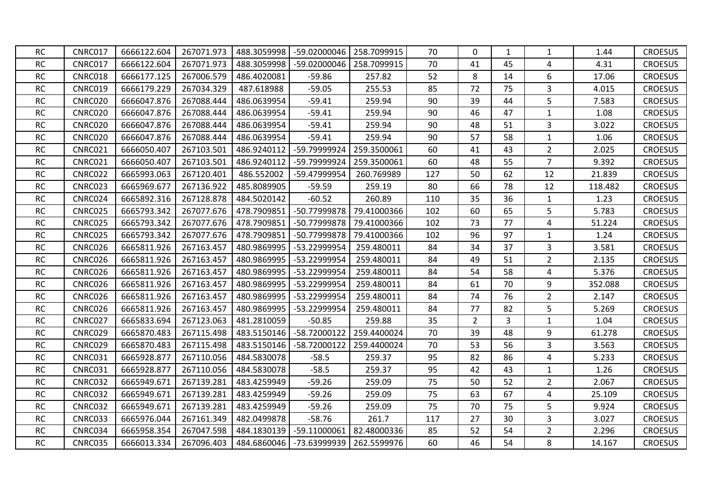| <b>RC</b> | CNRC017        | 6666122.604 | 267071.973 | 488.3059998 | -59.02000046 | 258.7099915 | 70  | $\Omega$       | 1              | 1              | 1.44    | <b>CROESUS</b> |
|-----------|----------------|-------------|------------|-------------|--------------|-------------|-----|----------------|----------------|----------------|---------|----------------|
| RC        | CNRC017        | 6666122.604 | 267071.973 | 488.3059998 | -59.02000046 | 258.7099915 | 70  | 41             | 45             | 4              | 4.31    | <b>CROESUS</b> |
| <b>RC</b> | CNRC018        | 6666177.125 | 267006.579 | 486.4020081 | $-59.86$     | 257.82      | 52  | 8              | 14             | 6              | 17.06   | <b>CROESUS</b> |
| RC        | <b>CNRC019</b> | 6666179.229 | 267034.329 | 487.618988  | $-59.05$     | 255.53      | 85  | 72             | 75             | $\overline{3}$ | 4.015   | <b>CROESUS</b> |
| <b>RC</b> | CNRC020        | 6666047.876 | 267088.444 | 486.0639954 | $-59.41$     | 259.94      | 90  | 39             | 44             | 5              | 7.583   | <b>CROESUS</b> |
| <b>RC</b> | <b>CNRC020</b> | 6666047.876 | 267088.444 | 486.0639954 | $-59.41$     | 259.94      | 90  | 46             | 47             | $\mathbf{1}$   | 1.08    | <b>CROESUS</b> |
| RC        | CNRC020        | 6666047.876 | 267088.444 | 486.0639954 | $-59.41$     | 259.94      | 90  | 48             | 51             | 3              | 3.022   | <b>CROESUS</b> |
| RC        | CNRC020        | 6666047.876 | 267088.444 | 486.0639954 | $-59.41$     | 259.94      | 90  | 57             | 58             | $1\,$          | 1.06    | <b>CROESUS</b> |
| RC        | <b>CNRC021</b> | 6666050.407 | 267103.501 | 486.9240112 | -59.79999924 | 259.3500061 | 60  | 41             | 43             | $\overline{2}$ | 2.025   | <b>CROESUS</b> |
| RC        | <b>CNRC021</b> | 6666050.407 | 267103.501 | 486.9240112 | -59.79999924 | 259.3500061 | 60  | 48             | 55             | $\overline{7}$ | 9.392   | <b>CROESUS</b> |
| <b>RC</b> | CNRC022        | 6665993.063 | 267120.401 | 486.552002  | -59.47999954 | 260.769989  | 127 | 50             | 62             | 12             | 21.839  | <b>CROESUS</b> |
| RC        | CNRC023        | 6665969.677 | 267136.922 | 485.8089905 | $-59.59$     | 259.19      | 80  | 66             | 78             | 12             | 118.482 | <b>CROESUS</b> |
| <b>RC</b> | CNRC024        | 6665892.316 | 267128.878 | 484.5020142 | $-60.52$     | 260.89      | 110 | 35             | 36             | $\mathbf{1}$   | 1.23    | <b>CROESUS</b> |
| <b>RC</b> | <b>CNRC025</b> | 6665793.342 | 267077.676 | 478.7909851 | -50.77999878 | 79.41000366 | 102 | 60             | 65             | 5              | 5.783   | <b>CROESUS</b> |
| RC        | <b>CNRC025</b> | 6665793.342 | 267077.676 | 478.7909851 | -50.77999878 | 79.41000366 | 102 | 73             | 77             | $\pmb{4}$      | 51.224  | <b>CROESUS</b> |
| <b>RC</b> | CNRC025        | 6665793.342 | 267077.676 | 478.7909851 | -50.77999878 | 79.41000366 | 102 | 96             | 97             | $\mathbf{1}$   | 1.24    | <b>CROESUS</b> |
| RC        | CNRC026        | 6665811.926 | 267163.457 | 480.9869995 | -53.22999954 | 259.480011  | 84  | 34             | 37             | 3              | 3.581   | <b>CROESUS</b> |
| <b>RC</b> | CNRC026        | 6665811.926 | 267163.457 | 480.9869995 | -53.22999954 | 259.480011  | 84  | 49             | 51             | $\overline{2}$ | 2.135   | <b>CROESUS</b> |
| <b>RC</b> | CNRC026        | 6665811.926 | 267163.457 | 480.9869995 | -53.22999954 | 259.480011  | 84  | 54             | 58             | 4              | 5.376   | <b>CROESUS</b> |
| <b>RC</b> | CNRC026        | 6665811.926 | 267163.457 | 480.9869995 | -53.22999954 | 259.480011  | 84  | 61             | 70             | 9              | 352.088 | <b>CROESUS</b> |
| <b>RC</b> | CNRC026        | 6665811.926 | 267163.457 | 480.9869995 | -53.22999954 | 259.480011  | 84  | 74             | 76             | $\overline{2}$ | 2.147   | <b>CROESUS</b> |
| RC        | CNRC026        | 6665811.926 | 267163.457 | 480.9869995 | -53.22999954 | 259.480011  | 84  | 77             | 82             | 5              | 5.269   | <b>CROESUS</b> |
| RC        | CNRC027        | 6665833.694 | 267123.063 | 481.2810059 | $-50.85$     | 259.88      | 35  | $\overline{2}$ | $\overline{3}$ | $\mathbf 1$    | 1.04    | <b>CROESUS</b> |
| <b>RC</b> | CNRC029        | 6665870.483 | 267115.498 | 483.5150146 | -58.72000122 | 259.4400024 | 70  | 39             | 48             | 9              | 61.278  | <b>CROESUS</b> |
| RC        | CNRC029        | 6665870.483 | 267115.498 | 483.5150146 | -58.72000122 | 259.4400024 | 70  | 53             | 56             | 3              | 3.563   | <b>CROESUS</b> |
| <b>RC</b> | <b>CNRC031</b> | 6665928.877 | 267110.056 | 484.5830078 | $-58.5$      | 259.37      | 95  | 82             | 86             | 4              | 5.233   | <b>CROESUS</b> |
| <b>RC</b> | <b>CNRC031</b> | 6665928.877 | 267110.056 | 484.5830078 | $-58.5$      | 259.37      | 95  | 42             | 43             | $\mathbf{1}$   | 1.26    | <b>CROESUS</b> |
| <b>RC</b> | CNRC032        | 6665949.671 | 267139.281 | 483.4259949 | $-59.26$     | 259.09      | 75  | 50             | 52             | $\overline{2}$ | 2.067   | <b>CROESUS</b> |
| <b>RC</b> | <b>CNRC032</b> | 6665949.671 | 267139.281 | 483.4259949 | $-59.26$     | 259.09      | 75  | 63             | 67             | 4              | 25.109  | <b>CROESUS</b> |
| RC        | CNRC032        | 6665949.671 | 267139.281 | 483.4259949 | $-59.26$     | 259.09      | 75  | 70             | 75             | 5              | 9.924   | <b>CROESUS</b> |
| <b>RC</b> | CNRC033        | 6665976.044 | 267161.349 | 482.0499878 | $-58.76$     | 261.7       | 117 | 27             | 30             | 3              | 3.027   | <b>CROESUS</b> |
| <b>RC</b> | CNRC034        | 6665958.354 | 267047.598 | 484.1830139 | -59.11000061 | 82.48000336 | 85  | 52             | 54             | $\overline{2}$ | 2.296   | <b>CROESUS</b> |
| <b>RC</b> | <b>CNRC035</b> | 6666013.334 | 267096.403 | 484.6860046 | -73.63999939 | 262.5599976 | 60  | 46             | 54             | 8              | 14.167  | <b>CROESUS</b> |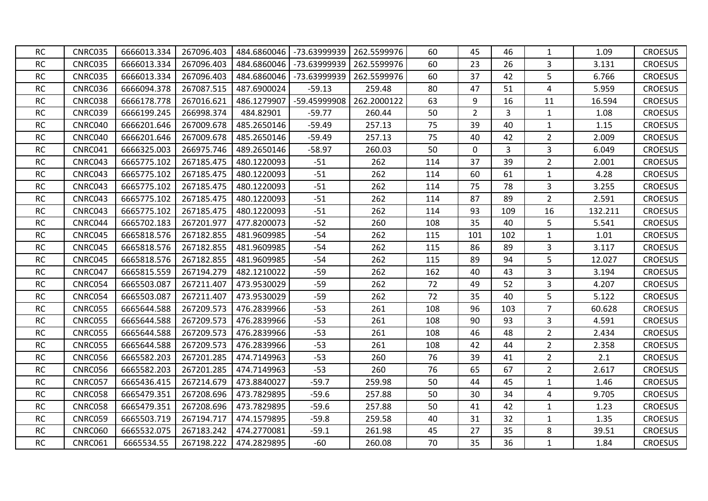| <b>RC</b> | CNRC035        | 6666013.334 | 267096.403 | 484.6860046 | -73.63999939 | 262.5599976 | 60  | 45             | 46             | $\mathbf{1}$   | 1.09    | <b>CROESUS</b> |
|-----------|----------------|-------------|------------|-------------|--------------|-------------|-----|----------------|----------------|----------------|---------|----------------|
| <b>RC</b> | <b>CNRC035</b> | 6666013.334 | 267096.403 | 484.6860046 | -73.63999939 | 262.5599976 | 60  | 23             | 26             | 3              | 3.131   | <b>CROESUS</b> |
| <b>RC</b> | CNRC035        | 6666013.334 | 267096.403 | 484.6860046 | -73.63999939 | 262.5599976 | 60  | 37             | 42             | 5              | 6.766   | <b>CROESUS</b> |
| <b>RC</b> | CNRC036        | 6666094.378 | 267087.515 | 487.6900024 | $-59.13$     | 259.48      | 80  | 47             | 51             | 4              | 5.959   | <b>CROESUS</b> |
| <b>RC</b> | CNRC038        | 6666178.778 | 267016.621 | 486.1279907 | -59.45999908 | 262.2000122 | 63  | 9              | 16             | 11             | 16.594  | <b>CROESUS</b> |
| <b>RC</b> | CNRC039        | 6666199.245 | 266998.374 | 484.82901   | $-59.77$     | 260.44      | 50  | $\overline{2}$ | $\overline{3}$ | $\mathbf{1}$   | 1.08    | <b>CROESUS</b> |
| <b>RC</b> | CNRC040        | 6666201.646 | 267009.678 | 485.2650146 | $-59.49$     | 257.13      | 75  | 39             | 40             | $\mathbf{1}$   | 1.15    | <b>CROESUS</b> |
| <b>RC</b> | CNRC040        | 6666201.646 | 267009.678 | 485.2650146 | $-59.49$     | 257.13      | 75  | 40             | 42             | $\overline{2}$ | 2.009   | <b>CROESUS</b> |
| <b>RC</b> | CNRC041        | 6666325.003 | 266975.746 | 489.2650146 | $-58.97$     | 260.03      | 50  | $\mathbf{0}$   | 3              | 3              | 6.049   | <b>CROESUS</b> |
| <b>RC</b> | CNRC043        | 6665775.102 | 267185.475 | 480.1220093 | $-51$        | 262         | 114 | 37             | 39             | $\overline{2}$ | 2.001   | <b>CROESUS</b> |
| <b>RC</b> | CNRC043        | 6665775.102 | 267185.475 | 480.1220093 | $-51$        | 262         | 114 | 60             | 61             | $\mathbf{1}$   | 4.28    | <b>CROESUS</b> |
| <b>RC</b> | CNRC043        | 6665775.102 | 267185.475 | 480.1220093 | $-51$        | 262         | 114 | 75             | 78             | 3              | 3.255   | <b>CROESUS</b> |
| <b>RC</b> | CNRC043        | 6665775.102 | 267185.475 | 480.1220093 | $-51$        | 262         | 114 | 87             | 89             | $\overline{2}$ | 2.591   | <b>CROESUS</b> |
| <b>RC</b> | CNRC043        | 6665775.102 | 267185.475 | 480.1220093 | $-51$        | 262         | 114 | 93             | 109            | 16             | 132.211 | <b>CROESUS</b> |
| <b>RC</b> | CNRC044        | 6665702.183 | 267201.977 | 477.8200073 | $-52$        | 260         | 108 | 35             | 40             | 5              | 5.541   | <b>CROESUS</b> |
| <b>RC</b> | CNRC045        | 6665818.576 | 267182.855 | 481.9609985 | $-54$        | 262         | 115 | 101            | 102            | $\mathbf{1}$   | 1.01    | <b>CROESUS</b> |
| <b>RC</b> | CNRC045        | 6665818.576 | 267182.855 | 481.9609985 | $-54$        | 262         | 115 | 86             | 89             | 3              | 3.117   | <b>CROESUS</b> |
| <b>RC</b> | CNRC045        | 6665818.576 | 267182.855 | 481.9609985 | $-54$        | 262         | 115 | 89             | 94             | 5              | 12.027  | <b>CROESUS</b> |
| <b>RC</b> | CNRC047        | 6665815.559 | 267194.279 | 482.1210022 | $-59$        | 262         | 162 | 40             | 43             | 3              | 3.194   | <b>CROESUS</b> |
| <b>RC</b> | CNRC054        | 6665503.087 | 267211.407 | 473.9530029 | $-59$        | 262         | 72  | 49             | 52             | 3              | 4.207   | <b>CROESUS</b> |
| RC        | CNRC054        | 6665503.087 | 267211.407 | 473.9530029 | $-59$        | 262         | 72  | 35             | 40             | 5              | 5.122   | <b>CROESUS</b> |
| <b>RC</b> | <b>CNRC055</b> | 6665644.588 | 267209.573 | 476.2839966 | $-53$        | 261         | 108 | 96             | 103            | $\overline{7}$ | 60.628  | <b>CROESUS</b> |
| <b>RC</b> | <b>CNRC055</b> | 6665644.588 | 267209.573 | 476.2839966 | $-53$        | 261         | 108 | 90             | 93             | 3              | 4.591   | <b>CROESUS</b> |
| <b>RC</b> | <b>CNRC055</b> | 6665644.588 | 267209.573 | 476.2839966 | $-53$        | 261         | 108 | 46             | 48             | $\overline{2}$ | 2.434   | <b>CROESUS</b> |
| RC        | <b>CNRC055</b> | 6665644.588 | 267209.573 | 476.2839966 | $-53$        | 261         | 108 | 42             | 44             | $\overline{2}$ | 2.358   | <b>CROESUS</b> |
| <b>RC</b> | CNRC056        | 6665582.203 | 267201.285 | 474.7149963 | $-53$        | 260         | 76  | 39             | 41             | $\overline{2}$ | 2.1     | <b>CROESUS</b> |
| <b>RC</b> | CNRC056        | 6665582.203 | 267201.285 | 474.7149963 | $-53$        | 260         | 76  | 65             | 67             | $\overline{2}$ | 2.617   | <b>CROESUS</b> |
| <b>RC</b> | <b>CNRC057</b> | 6665436.415 | 267214.679 | 473.8840027 | $-59.7$      | 259.98      | 50  | 44             | 45             | $\mathbf{1}$   | 1.46    | <b>CROESUS</b> |
| <b>RC</b> | <b>CNRC058</b> | 6665479.351 | 267208.696 | 473.7829895 | $-59.6$      | 257.88      | 50  | 30             | 34             | 4              | 9.705   | <b>CROESUS</b> |
| <b>RC</b> | CNRC058        | 6665479.351 | 267208.696 | 473.7829895 | $-59.6$      | 257.88      | 50  | 41             | 42             | $\mathbf{1}$   | 1.23    | <b>CROESUS</b> |
| <b>RC</b> | CNRC059        | 6665503.719 | 267194.717 | 474.1579895 | $-59.8$      | 259.58      | 40  | 31             | 32             | $\mathbf{1}$   | 1.35    | <b>CROESUS</b> |
| <b>RC</b> | <b>CNRC060</b> | 6665532.075 | 267183.242 | 474.2770081 | $-59.1$      | 261.98      | 45  | 27             | 35             | 8              | 39.51   | <b>CROESUS</b> |
| <b>RC</b> | <b>CNRC061</b> | 6665534.55  | 267198.222 | 474.2829895 | $-60$        | 260.08      | 70  | 35             | 36             | $\mathbf{1}$   | 1.84    | <b>CROESUS</b> |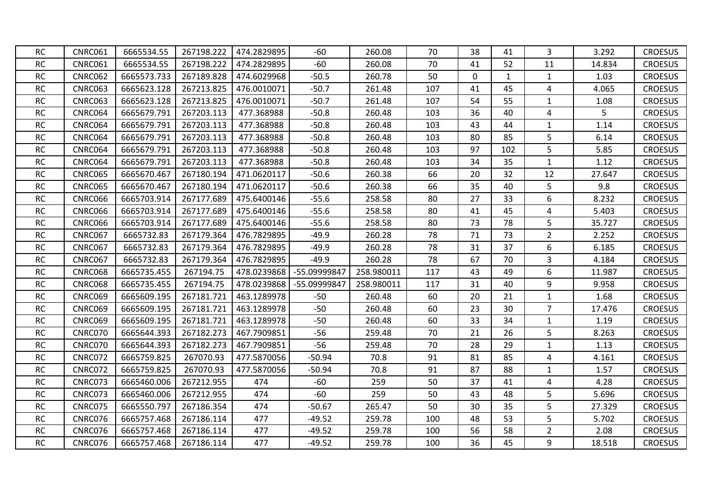| <b>RC</b> | <b>CNRC061</b> | 6665534.55  | 267198.222 | 474.2829895 | $-60$        | 260.08     | 70  | 38       | 41           | 3              | 3.292  | <b>CROESUS</b> |
|-----------|----------------|-------------|------------|-------------|--------------|------------|-----|----------|--------------|----------------|--------|----------------|
| RC        | <b>CNRC061</b> | 6665534.55  | 267198.222 | 474.2829895 | $-60$        | 260.08     | 70  | 41       | 52           | 11             | 14.834 | <b>CROESUS</b> |
| <b>RC</b> | <b>CNRC062</b> | 6665573.733 | 267189.828 | 474.6029968 | $-50.5$      | 260.78     | 50  | $\Omega$ | $\mathbf{1}$ | $\mathbf{1}$   | 1.03   | <b>CROESUS</b> |
| <b>RC</b> | <b>CNRC063</b> | 6665623.128 | 267213.825 | 476.0010071 | $-50.7$      | 261.48     | 107 | 41       | 45           | 4              | 4.065  | <b>CROESUS</b> |
| <b>RC</b> | CNRC063        | 6665623.128 | 267213.825 | 476.0010071 | $-50.7$      | 261.48     | 107 | 54       | 55           | $\mathbf{1}$   | 1.08   | <b>CROESUS</b> |
| <b>RC</b> | <b>CNRC064</b> | 6665679.791 | 267203.113 | 477.368988  | $-50.8$      | 260.48     | 103 | 36       | 40           | 4              | 5      | <b>CROESUS</b> |
| RC        | CNRC064        | 6665679.791 | 267203.113 | 477.368988  | $-50.8$      | 260.48     | 103 | 43       | 44           | $\mathbf{1}$   | 1.14   | <b>CROESUS</b> |
| <b>RC</b> | <b>CNRC064</b> | 6665679.791 | 267203.113 | 477.368988  | $-50.8$      | 260.48     | 103 | 80       | 85           | 5              | 6.14   | <b>CROESUS</b> |
| RC        | <b>CNRC064</b> | 6665679.791 | 267203.113 | 477.368988  | $-50.8$      | 260.48     | 103 | 97       | 102          | 5              | 5.85   | <b>CROESUS</b> |
| RC        | <b>CNRC064</b> | 6665679.791 | 267203.113 | 477.368988  | $-50.8$      | 260.48     | 103 | 34       | 35           | $\mathbf{1}$   | 1.12   | <b>CROESUS</b> |
| <b>RC</b> | <b>CNRC065</b> | 6665670.467 | 267180.194 | 471.0620117 | $-50.6$      | 260.38     | 66  | 20       | 32           | 12             | 27.647 | <b>CROESUS</b> |
| <b>RC</b> | <b>CNRC065</b> | 6665670.467 | 267180.194 | 471.0620117 | $-50.6$      | 260.38     | 66  | 35       | 40           | 5              | 9.8    | <b>CROESUS</b> |
| <b>RC</b> | CNRC066        | 6665703.914 | 267177.689 | 475.6400146 | $-55.6$      | 258.58     | 80  | 27       | 33           | 6              | 8.232  | <b>CROESUS</b> |
| <b>RC</b> | <b>CNRC066</b> | 6665703.914 | 267177.689 | 475.6400146 | $-55.6$      | 258.58     | 80  | 41       | 45           | 4              | 5.403  | <b>CROESUS</b> |
| RC        | <b>CNRC066</b> | 6665703.914 | 267177.689 | 475.6400146 | $-55.6$      | 258.58     | 80  | 73       | 78           | 5              | 35.727 | <b>CROESUS</b> |
| <b>RC</b> | <b>CNRC067</b> | 6665732.83  | 267179.364 | 476.7829895 | $-49.9$      | 260.28     | 78  | 71       | 73           | $\overline{2}$ | 2.252  | <b>CROESUS</b> |
| RC        | <b>CNRC067</b> | 6665732.83  | 267179.364 | 476.7829895 | $-49.9$      | 260.28     | 78  | 31       | 37           | 6              | 6.185  | <b>CROESUS</b> |
| <b>RC</b> | <b>CNRC067</b> | 6665732.83  | 267179.364 | 476.7829895 | $-49.9$      | 260.28     | 78  | 67       | 70           | 3              | 4.184  | <b>CROESUS</b> |
| <b>RC</b> | CNRC068        | 6665735.455 | 267194.75  | 478.0239868 | -55.09999847 | 258.980011 | 117 | 43       | 49           | 6              | 11.987 | <b>CROESUS</b> |
| <b>RC</b> | CNRC068        | 6665735.455 | 267194.75  | 478.0239868 | -55.09999847 | 258.980011 | 117 | 31       | 40           | 9              | 9.958  | <b>CROESUS</b> |
| <b>RC</b> | CNRC069        | 6665609.195 | 267181.721 | 463.1289978 | $-50$        | 260.48     | 60  | 20       | 21           | $\mathbf{1}$   | 1.68   | <b>CROESUS</b> |
| <b>RC</b> | <b>CNRC069</b> | 6665609.195 | 267181.721 | 463.1289978 | $-50$        | 260.48     | 60  | 23       | 30           | $\overline{7}$ | 17.476 | <b>CROESUS</b> |
| RC        | <b>CNRC069</b> | 6665609.195 | 267181.721 | 463.1289978 | $-50$        | 260.48     | 60  | 33       | 34           | $\mathbf{1}$   | 1.19   | <b>CROESUS</b> |
| <b>RC</b> | CNRC070        | 6665644.393 | 267182.273 | 467.7909851 | $-56$        | 259.48     | 70  | 21       | 26           | 5              | 8.263  | <b>CROESUS</b> |
| RC        | CNRC070        | 6665644.393 | 267182.273 | 467.7909851 | $-56$        | 259.48     | 70  | 28       | 29           | $\mathbf{1}$   | 1.13   | <b>CROESUS</b> |
| <b>RC</b> | CNRC072        | 6665759.825 | 267070.93  | 477.5870056 | $-50.94$     | 70.8       | 91  | 81       | 85           | 4              | 4.161  | <b>CROESUS</b> |
| <b>RC</b> | CNRC072        | 6665759.825 | 267070.93  | 477.5870056 | $-50.94$     | 70.8       | 91  | 87       | 88           | 1              | 1.57   | <b>CROESUS</b> |
| <b>RC</b> | CNRC073        | 6665460.006 | 267212.955 | 474         | $-60$        | 259        | 50  | 37       | 41           | $\overline{a}$ | 4.28   | <b>CROESUS</b> |
| <b>RC</b> | CNRC073        | 6665460.006 | 267212.955 | 474         | $-60$        | 259        | 50  | 43       | 48           | 5              | 5.696  | <b>CROESUS</b> |
| <b>RC</b> | CNRC075        | 6665550.797 | 267186.354 | 474         | $-50.67$     | 265.47     | 50  | 30       | 35           | 5              | 27.329 | <b>CROESUS</b> |
| <b>RC</b> | CNRC076        | 6665757.468 | 267186.114 | 477         | $-49.52$     | 259.78     | 100 | 48       | 53           | 5              | 5.702  | <b>CROESUS</b> |
| <b>RC</b> | CNRC076        | 6665757.468 | 267186.114 | 477         | $-49.52$     | 259.78     | 100 | 56       | 58           | $\overline{2}$ | 2.08   | <b>CROESUS</b> |
| <b>RC</b> | CNRC076        | 6665757.468 | 267186.114 | 477         | $-49.52$     | 259.78     | 100 | 36       | 45           | 9              | 18.518 | <b>CROESUS</b> |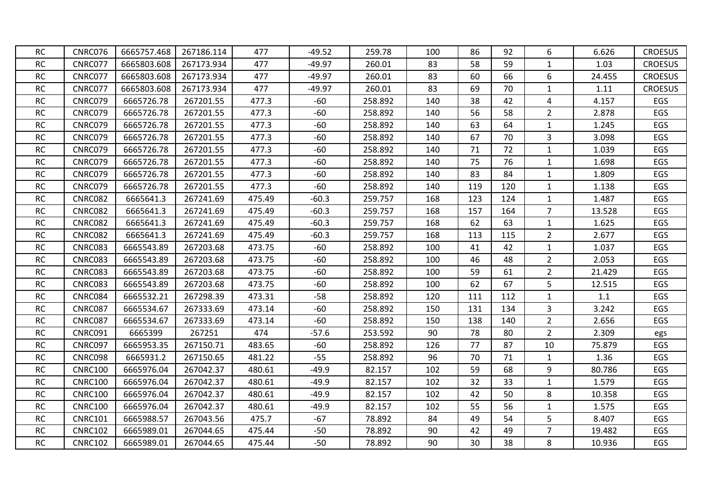| <b>RC</b> | CNRC076        | 6665757.468 | 267186.114 | 477    | $-49.52$ | 259.78  | 100 | 86  | 92  | 6              | 6.626  | <b>CROESUS</b> |
|-----------|----------------|-------------|------------|--------|----------|---------|-----|-----|-----|----------------|--------|----------------|
| RC        | CNRC077        | 6665803.608 | 267173.934 | 477    | $-49.97$ | 260.01  | 83  | 58  | 59  | $\mathbf{1}$   | 1.03   | <b>CROESUS</b> |
| <b>RC</b> | CNRC077        | 6665803.608 | 267173.934 | 477    | $-49.97$ | 260.01  | 83  | 60  | 66  | 6              | 24.455 | <b>CROESUS</b> |
| <b>RC</b> | CNRC077        | 6665803.608 | 267173.934 | 477    | $-49.97$ | 260.01  | 83  | 69  | 70  | $\mathbf{1}$   | 1.11   | <b>CROESUS</b> |
| RC        | CNRC079        | 6665726.78  | 267201.55  | 477.3  | $-60$    | 258.892 | 140 | 38  | 42  | 4              | 4.157  | EGS            |
| RC        | CNRC079        | 6665726.78  | 267201.55  | 477.3  | $-60$    | 258.892 | 140 | 56  | 58  | $2^{\circ}$    | 2.878  | EGS            |
| RC        | CNRC079        | 6665726.78  | 267201.55  | 477.3  | $-60$    | 258.892 | 140 | 63  | 64  | $\mathbf{1}$   | 1.245  | EGS            |
| <b>RC</b> | CNRC079        | 6665726.78  | 267201.55  | 477.3  | $-60$    | 258.892 | 140 | 67  | 70  | 3              | 3.098  | EGS            |
| <b>RC</b> | CNRC079        | 6665726.78  | 267201.55  | 477.3  | $-60$    | 258.892 | 140 | 71  | 72  | $\mathbf{1}$   | 1.039  | EGS            |
| RC        | CNRC079        | 6665726.78  | 267201.55  | 477.3  | $-60$    | 258.892 | 140 | 75  | 76  | $\mathbf{1}$   | 1.698  | EGS            |
| <b>RC</b> | CNRC079        | 6665726.78  | 267201.55  | 477.3  | $-60$    | 258.892 | 140 | 83  | 84  | $\mathbf{1}$   | 1.809  | EGS            |
| <b>RC</b> | CNRC079        | 6665726.78  | 267201.55  | 477.3  | $-60$    | 258.892 | 140 | 119 | 120 | $\mathbf{1}$   | 1.138  | EGS            |
| <b>RC</b> | <b>CNRC082</b> | 6665641.3   | 267241.69  | 475.49 | $-60.3$  | 259.757 | 168 | 123 | 124 | $\mathbf{1}$   | 1.487  | EGS            |
| <b>RC</b> | <b>CNRC082</b> | 6665641.3   | 267241.69  | 475.49 | $-60.3$  | 259.757 | 168 | 157 | 164 | $\overline{7}$ | 13.528 | EGS            |
| <b>RC</b> | <b>CNRC082</b> | 6665641.3   | 267241.69  | 475.49 | $-60.3$  | 259.757 | 168 | 62  | 63  | 1              | 1.625  | EGS            |
| <b>RC</b> | CNRC082        | 6665641.3   | 267241.69  | 475.49 | $-60.3$  | 259.757 | 168 | 113 | 115 | $2^{\circ}$    | 2.677  | EGS            |
| <b>RC</b> | CNRC083        | 6665543.89  | 267203.68  | 473.75 | $-60$    | 258.892 | 100 | 41  | 42  | $\mathbf{1}$   | 1.037  | EGS            |
| RC        | CNRC083        | 6665543.89  | 267203.68  | 473.75 | $-60$    | 258.892 | 100 | 46  | 48  | $2^{\circ}$    | 2.053  | EGS            |
| <b>RC</b> | CNRC083        | 6665543.89  | 267203.68  | 473.75 | $-60$    | 258.892 | 100 | 59  | 61  | $2^{\circ}$    | 21.429 | EGS            |
| <b>RC</b> | <b>CNRC083</b> | 6665543.89  | 267203.68  | 473.75 | $-60$    | 258.892 | 100 | 62  | 67  | 5              | 12.515 | EGS            |
| <b>RC</b> | CNRC084        | 6665532.21  | 267298.39  | 473.31 | $-58$    | 258.892 | 120 | 111 | 112 | $\mathbf{1}$   | 1.1    | EGS            |
| <b>RC</b> | <b>CNRC087</b> | 6665534.67  | 267333.69  | 473.14 | $-60$    | 258.892 | 150 | 131 | 134 | 3              | 3.242  | EGS            |
| RC        | <b>CNRC087</b> | 6665534.67  | 267333.69  | 473.14 | $-60$    | 258.892 | 150 | 138 | 140 | $\overline{2}$ | 2.656  | EGS            |
| RC        | CNRC091        | 6665399     | 267251     | 474    | $-57.6$  | 253.592 | 90  | 78  | 80  | $2^{\circ}$    | 2.309  | egs            |
| <b>RC</b> | CNRC097        | 6665953.35  | 267150.71  | 483.65 | $-60$    | 258.892 | 126 | 77  | 87  | 10             | 75.879 | EGS            |
| <b>RC</b> | CNRC098        | 6665931.2   | 267150.65  | 481.22 | $-55$    | 258.892 | 96  | 70  | 71  | $\mathbf{1}$   | 1.36   | EGS            |
| <b>RC</b> | <b>CNRC100</b> | 6665976.04  | 267042.37  | 480.61 | $-49.9$  | 82.157  | 102 | 59  | 68  | 9              | 80.786 | EGS            |
| <b>RC</b> | <b>CNRC100</b> | 6665976.04  | 267042.37  | 480.61 | $-49.9$  | 82.157  | 102 | 32  | 33  | $\mathbf{1}$   | 1.579  | EGS            |
| <b>RC</b> | <b>CNRC100</b> | 6665976.04  | 267042.37  | 480.61 | $-49.9$  | 82.157  | 102 | 42  | 50  | 8              | 10.358 | EGS            |
| <b>RC</b> | <b>CNRC100</b> | 6665976.04  | 267042.37  | 480.61 | $-49.9$  | 82.157  | 102 | 55  | 56  | $\mathbf{1}$   | 1.575  | EGS            |
| RC        | <b>CNRC101</b> | 6665988.57  | 267043.56  | 475.7  | $-67$    | 78.892  | 84  | 49  | 54  | 5              | 8.407  | EGS            |
| RC        | <b>CNRC102</b> | 6665989.01  | 267044.65  | 475.44 | $-50$    | 78.892  | 90  | 42  | 49  | $\overline{7}$ | 19.482 | EGS            |
| <b>RC</b> | <b>CNRC102</b> | 6665989.01  | 267044.65  | 475.44 | $-50$    | 78.892  | 90  | 30  | 38  | 8              | 10.936 | EGS            |